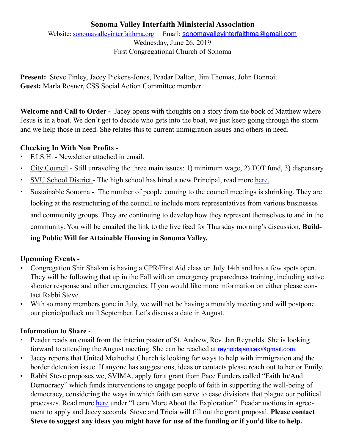# **Sonoma Valley Interfaith Ministerial Association**

Website: [sonomavalleyinterfaithma.org](http://sonomavalleyinterfaithma.org) Email: [sonomavalleyinterfaithma@gmail.com](mailto:sonomavalleyinterfaithma@gmail.com) Wednesday, June 26, 2019 First Congregational Church of Sonoma

**Present:** Steve Finley, Jacey Pickens-Jones, Peadar Dalton, Jim Thomas, John Bonnoit. **Guest:** Marla Rosner, CSS Social Action Committee member

**Welcome and Call to Order -** Jacey opens with thoughts on a story from the book of Matthew where Jesus is in a boat. We don't get to decide who gets into the boat, we just keep going through the storm and we help those in need. She relates this to current immigration issues and others in need.

## **Checking In With Non Profits** -

- **•** F.I.S.H. Newsletter attached in email.
- **•** City Council Still unraveling the three main issues: 1) minimum wage, 2) TOT fund, 3) dispensary
- **•** SVU School District The high school has hired a new Principal, read more [here.](https://www.sonomanews.com/news/education/9718370-181/new-principal-named-for-sonoma)
- Sustainable Sonoma The number of people coming to the council meetings is shrinking. They are looking at the restructuring of the council to include more representatives from various businesses and community groups. They are continuing to develop how they represent themselves to and in the community. You will be emailed the link to the live feed for Thursday morning's discussion, **Building Public Will for Attainable Housing in Sonoma Valley.**

## **Upcoming Events -**

- Congregation Shir Shalom is having a CPR/First Aid class on July 14th and has a few spots open. They will be following that up in the Fall with an emergency preparedness training, including active shooter response and other emergencies. If you would like more information on either please contact Rabbi Steve.
- With so many members gone in July, we will not be having a monthly meeting and will postpone our picnic/potluck until September. Let's discuss a date in August.

## **Information to Share** -

- Peadar reads an email from the interim pastor of St. Andrew, Rev. Jan Reynolds. She is looking forward to attending the August meeting. She can be reached at [reynoldsjanicek@gmail.com.](mailto:Please%20email%20your%20topics%20and%20talking%20points%20to%20the%20host,%20Bob,%20in%20advance%20at%20btaylor@ksvy.org.%C2%A0%C2%A0%20If%20you%20are%20unable%20to%20be%20live%20in%20the%20KSVY%20studio%20for%20your%20interview%20you%20can%20call%20in.%C2%A0%20The%20call-in%20number%20is%C2%A0933-9133,%C2%A0if%20you%20would%20like%20to%20use%20this%20option%20please%20give%20Bob%20a%C2%A0heads%20up%20via%20email%20when%20you%20send%20in%20your%20topics.%20%20The%20address%20is:%20680%20W%20Napa%20St.%20Sonoma,%20CA%2095476%20(Entrance%20is%20on%207th%20street%20West.%20The%20same%20building%20as%20Papa%20Murphy)
- Jacey reports that United Methodist Church is looking for ways to help with immigration and the border detention issue. If anyone has suggestions, ideas or contacts please reach out to her or Emily.
- Rabbi Steve proposes we, SVIMA, apply for a grant from Pace Funders called "Faith In/And Democracy" which funds interventions to engage people of faith in supporting the well-being of democracy, considering the ways in which faith can serve to ease divisions that plague our political processes. Read more [here](http://www.pacefunders.org/faith/) under "Learn More About the Exploration". Peadar motions in agreement to apply and Jacey seconds. Steve and Tricia will fill out the grant proposal. **Please contact Steve to suggest any ideas you might have for use of the funding or if you'd like to help.**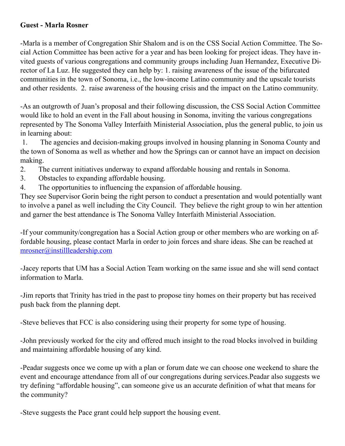## **Guest - Marla Rosner**

-Marla is a member of Congregation Shir Shalom and is on the CSS Social Action Committee. The Social Action Committee has been active for a year and has been looking for project ideas. They have invited guests of various congregations and community groups including Juan Hernandez, Executive Director of La Luz. He suggested they can help by: 1. raising awareness of the issue of the bifurcated communities in the town of Sonoma, i.e., the low-income Latino community and the upscale tourists and other residents. 2. raise awareness of the housing crisis and the impact on the Latino community.

-As an outgrowth of Juan's proposal and their following discussion, the CSS Social Action Committee would like to hold an event in the Fall about housing in Sonoma, inviting the various congregations represented by The Sonoma Valley Interfaith Ministerial Association, plus the general public, to join us in learning about:

 1. The agencies and decision-making groups involved in housing planning in Sonoma County and the town of Sonoma as well as whether and how the Springs can or cannot have an impact on decision making.

2. The current initiatives underway to expand affordable housing and rentals in Sonoma.

- 3. Obstacles to expanding affordable housing.
- 4. The opportunities to influencing the expansion of affordable housing.

They see Supervisor Gorin being the right person to conduct a presentation and would potentially want to involve a panel as well including the City Council. They believe the right group to win her attention and garner the best attendance is The Sonoma Valley Interfaith Ministerial Association.

-If your community/congregation has a Social Action group or other members who are working on affordable housing, please contact Marla in order to join forces and share ideas. She can be reached at [mrosner@instillleadership.com](mailto:mrosner@instillleadership.com)

-Jacey reports that UM has a Social Action Team working on the same issue and she will send contact information to Marla.

-Jim reports that Trinity has tried in the past to propose tiny homes on their property but has received push back from the planning dept.

-Steve believes that FCC is also considering using their property for some type of housing.

-John previously worked for the city and offered much insight to the road blocks involved in building and maintaining affordable housing of any kind.

-Peadar suggests once we come up with a plan or forum date we can choose one weekend to share the event and encourage attendance from all of our congregations during services.Peadar also suggests we try defining "affordable housing", can someone give us an accurate definition of what that means for the community?

-Steve suggests the Pace grant could help support the housing event.